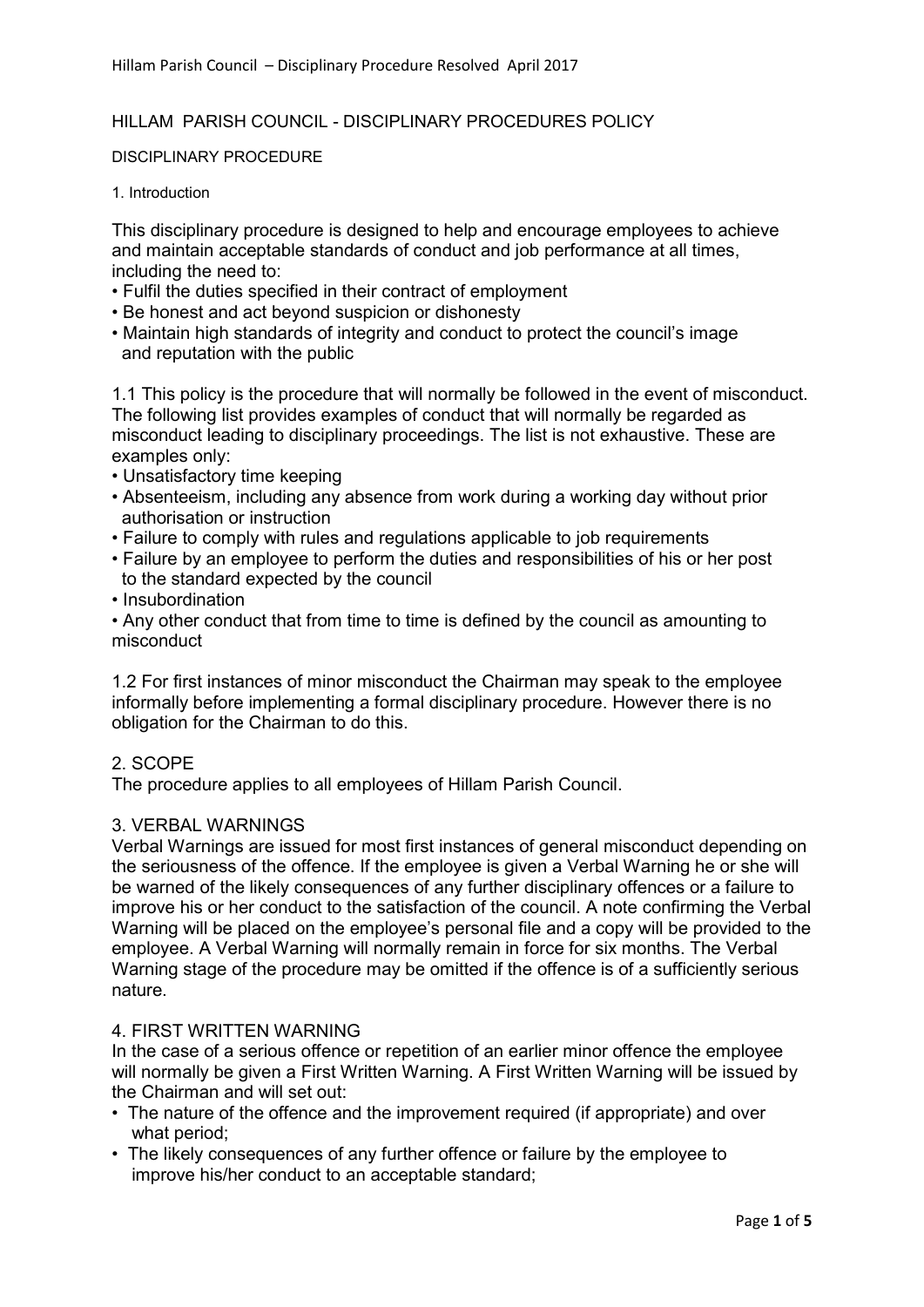### HILLAM PARISH COUNCIL - DISCIPLINARY PROCEDURES POLICY

DISCIPLINARY PROCEDURE

1. Introduction

This disciplinary procedure is designed to help and encourage employees to achieve and maintain acceptable standards of conduct and job performance at all times, including the need to:

- Fulfil the duties specified in their contract of employment
- Be honest and act beyond suspicion or dishonesty
- Maintain high standards of integrity and conduct to protect the council's image and reputation with the public

1.1 This policy is the procedure that will normally be followed in the event of misconduct. The following list provides examples of conduct that will normally be regarded as misconduct leading to disciplinary proceedings. The list is not exhaustive. These are examples only:

- Unsatisfactory time keeping
- Absenteeism, including any absence from work during a working day without prior authorisation or instruction
- Failure to comply with rules and regulations applicable to job requirements
- Failure by an employee to perform the duties and responsibilities of his or her post to the standard expected by the council
- Insubordination

• Any other conduct that from time to time is defined by the council as amounting to misconduct

1.2 For first instances of minor misconduct the Chairman may speak to the employee informally before implementing a formal disciplinary procedure. However there is no obligation for the Chairman to do this.

### 2. SCOPE

The procedure applies to all employees of Hillam Parish Council.

#### 3. VERBAL WARNINGS

Verbal Warnings are issued for most first instances of general misconduct depending on the seriousness of the offence. If the employee is given a Verbal Warning he or she will be warned of the likely consequences of any further disciplinary offences or a failure to improve his or her conduct to the satisfaction of the council. A note confirming the Verbal Warning will be placed on the employee's personal file and a copy will be provided to the employee. A Verbal Warning will normally remain in force for six months. The Verbal Warning stage of the procedure may be omitted if the offence is of a sufficiently serious nature.

#### 4. FIRST WRITTEN WARNING

In the case of a serious offence or repetition of an earlier minor offence the employee will normally be given a First Written Warning. A First Written Warning will be issued by the Chairman and will set out:

- The nature of the offence and the improvement required (if appropriate) and over what period;
- The likely consequences of any further offence or failure by the employee to improve his/her conduct to an acceptable standard;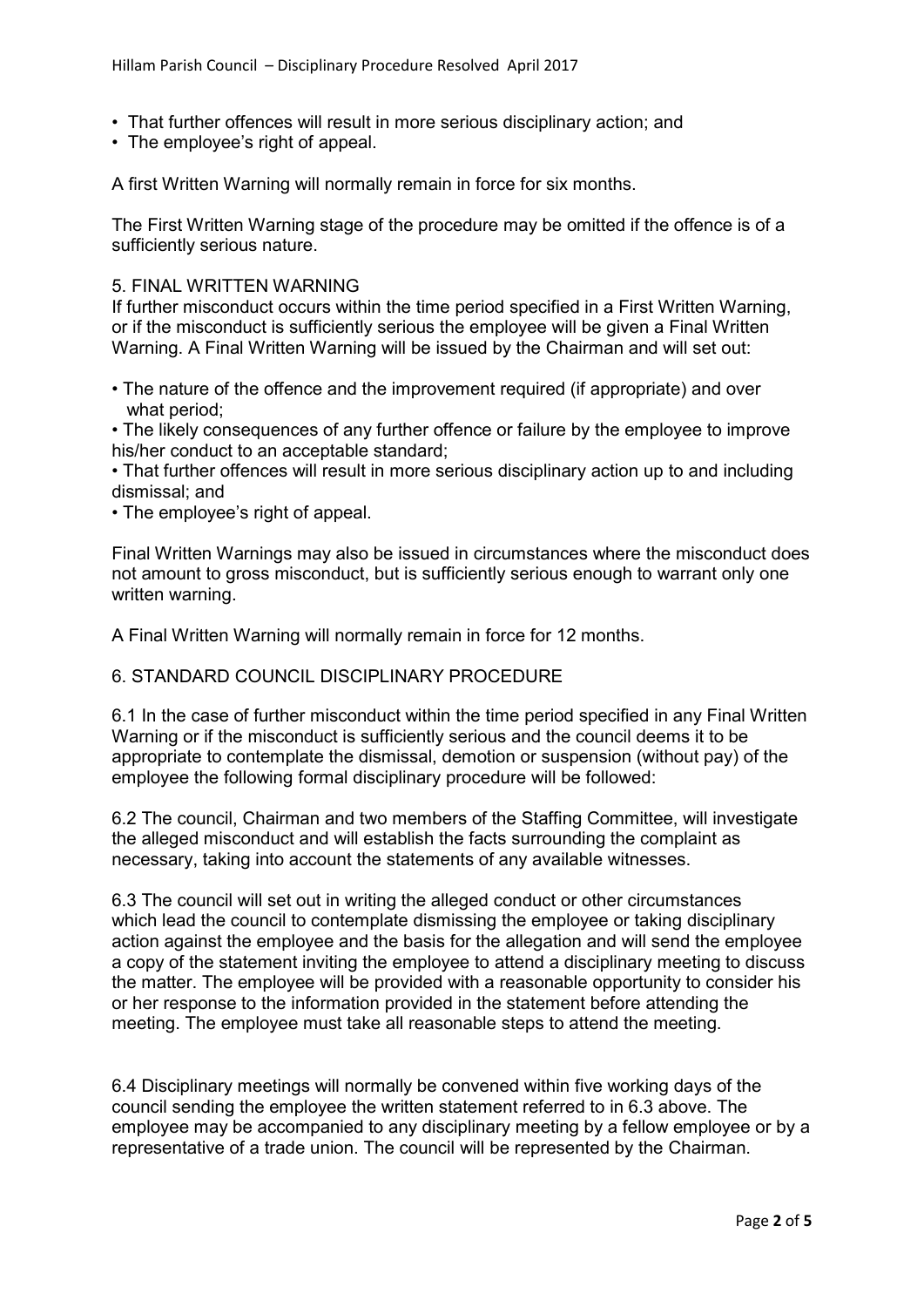- That further offences will result in more serious disciplinary action; and
- The employee's right of appeal.

A first Written Warning will normally remain in force for six months.

The First Written Warning stage of the procedure may be omitted if the offence is of a sufficiently serious nature.

#### 5. FINAL WRITTEN WARNING

If further misconduct occurs within the time period specified in a First Written Warning, or if the misconduct is sufficiently serious the employee will be given a Final Written Warning. A Final Written Warning will be issued by the Chairman and will set out:

• The nature of the offence and the improvement required (if appropriate) and over what period;

• The likely consequences of any further offence or failure by the employee to improve his/her conduct to an acceptable standard;

• That further offences will result in more serious disciplinary action up to and including dismissal; and

• The employee's right of appeal.

Final Written Warnings may also be issued in circumstances where the misconduct does not amount to gross misconduct, but is sufficiently serious enough to warrant only one written warning.

A Final Written Warning will normally remain in force for 12 months.

# 6. STANDARD COUNCIL DISCIPLINARY PROCEDURE

6.1 In the case of further misconduct within the time period specified in any Final Written Warning or if the misconduct is sufficiently serious and the council deems it to be appropriate to contemplate the dismissal, demotion or suspension (without pay) of the employee the following formal disciplinary procedure will be followed:

6.2 The council, Chairman and two members of the Staffing Committee, will investigate the alleged misconduct and will establish the facts surrounding the complaint as necessary, taking into account the statements of any available witnesses.

6.3 The council will set out in writing the alleged conduct or other circumstances which lead the council to contemplate dismissing the employee or taking disciplinary action against the employee and the basis for the allegation and will send the employee a copy of the statement inviting the employee to attend a disciplinary meeting to discuss the matter. The employee will be provided with a reasonable opportunity to consider his or her response to the information provided in the statement before attending the meeting. The employee must take all reasonable steps to attend the meeting.

6.4 Disciplinary meetings will normally be convened within five working days of the council sending the employee the written statement referred to in 6.3 above. The employee may be accompanied to any disciplinary meeting by a fellow employee or by a representative of a trade union. The council will be represented by the Chairman.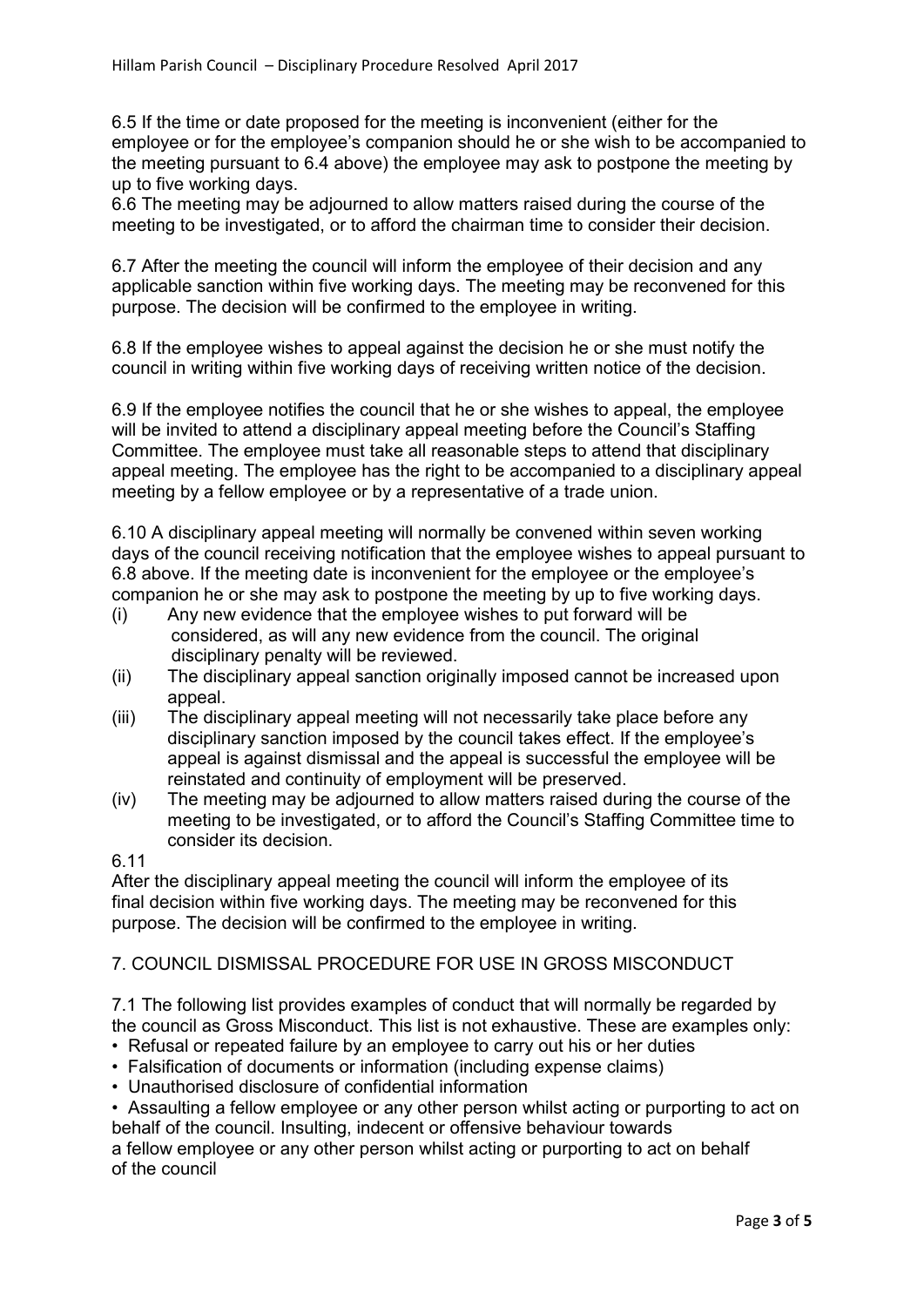6.5 If the time or date proposed for the meeting is inconvenient (either for the employee or for the employee's companion should he or she wish to be accompanied to the meeting pursuant to 6.4 above) the employee may ask to postpone the meeting by up to five working days.

6.6 The meeting may be adjourned to allow matters raised during the course of the meeting to be investigated, or to afford the chairman time to consider their decision.

6.7 After the meeting the council will inform the employee of their decision and any applicable sanction within five working days. The meeting may be reconvened for this purpose. The decision will be confirmed to the employee in writing.

6.8 If the employee wishes to appeal against the decision he or she must notify the council in writing within five working days of receiving written notice of the decision.

6.9 If the employee notifies the council that he or she wishes to appeal, the employee will be invited to attend a disciplinary appeal meeting before the Council's Staffing Committee. The employee must take all reasonable steps to attend that disciplinary appeal meeting. The employee has the right to be accompanied to a disciplinary appeal meeting by a fellow employee or by a representative of a trade union.

6.10 A disciplinary appeal meeting will normally be convened within seven working days of the council receiving notification that the employee wishes to appeal pursuant to 6.8 above. If the meeting date is inconvenient for the employee or the employee's companion he or she may ask to postpone the meeting by up to five working days.

- (i) Any new evidence that the employee wishes to put forward will be considered, as will any new evidence from the council. The original disciplinary penalty will be reviewed.
- (ii) The disciplinary appeal sanction originally imposed cannot be increased upon appeal.
- (iii) The disciplinary appeal meeting will not necessarily take place before any disciplinary sanction imposed by the council takes effect. If the employee's appeal is against dismissal and the appeal is successful the employee will be reinstated and continuity of employment will be preserved.
- (iv) The meeting may be adjourned to allow matters raised during the course of the meeting to be investigated, or to afford the Council's Staffing Committee time to consider its decision.

# 6.11

After the disciplinary appeal meeting the council will inform the employee of its final decision within five working days. The meeting may be reconvened for this purpose. The decision will be confirmed to the employee in writing.

# 7. COUNCIL DISMISSAL PROCEDURE FOR USE IN GROSS MISCONDUCT

7.1 The following list provides examples of conduct that will normally be regarded by the council as Gross Misconduct. This list is not exhaustive. These are examples only:

- Refusal or repeated failure by an employee to carry out his or her duties
- Falsification of documents or information (including expense claims)
- Unauthorised disclosure of confidential information
- Assaulting a fellow employee or any other person whilst acting or purporting to act on behalf of the council. Insulting, indecent or offensive behaviour towards a fellow employee or any other person whilst acting or purporting to act on behalf

of the council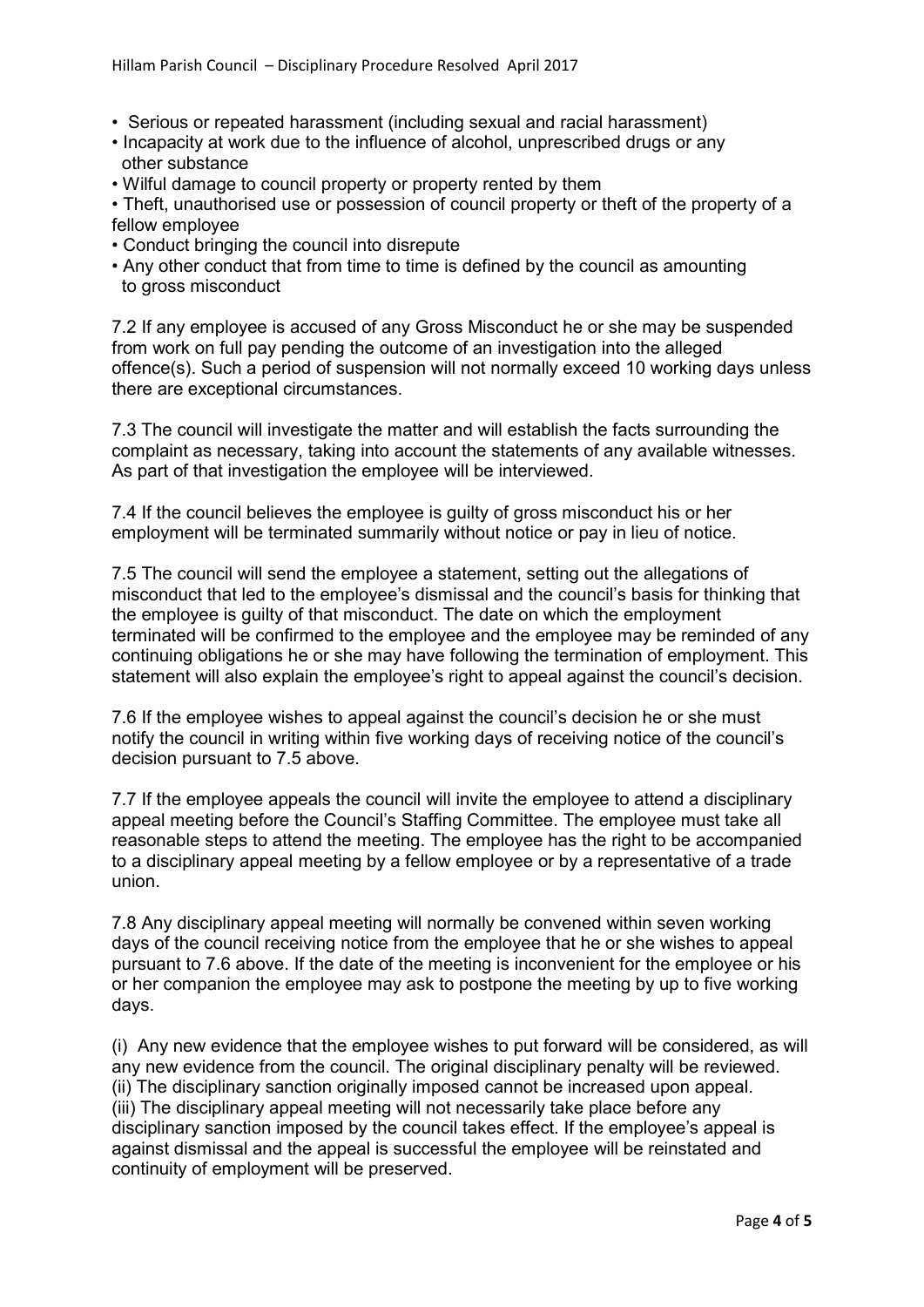- Serious or repeated harassment (including sexual and racial harassment)
- Incapacity at work due to the influence of alcohol, unprescribed drugs or any other substance
- Wilful damage to council property or property rented by them

• Theft, unauthorised use or possession of council property or theft of the property of a fellow employee

- Conduct bringing the council into disrepute
- Any other conduct that from time to time is defined by the council as amounting to gross misconduct

7.2 If any employee is accused of any Gross Misconduct he or she may be suspended from work on full pay pending the outcome of an investigation into the alleged offence(s). Such a period of suspension will not normally exceed 10 working days unless there are exceptional circumstances.

7.3 The council will investigate the matter and will establish the facts surrounding the complaint as necessary, taking into account the statements of any available witnesses. As part of that investigation the employee will be interviewed.

7.4 If the council believes the employee is guilty of gross misconduct his or her employment will be terminated summarily without notice or pay in lieu of notice.

7.5 The council will send the employee a statement, setting out the allegations of misconduct that led to the employee's dismissal and the council's basis for thinking that the employee is guilty of that misconduct. The date on which the employment terminated will be confirmed to the employee and the employee may be reminded of any continuing obligations he or she may have following the termination of employment. This statement will also explain the employee's right to appeal against the council's decision.

7.6 If the employee wishes to appeal against the council's decision he or she must notify the council in writing within five working days of receiving notice of the council's decision pursuant to 7.5 above.

7.7 If the employee appeals the council will invite the employee to attend a disciplinary appeal meeting before the Council's Staffing Committee. The employee must take all reasonable steps to attend the meeting. The employee has the right to be accompanied to a disciplinary appeal meeting by a fellow employee or by a representative of a trade union.

7.8 Any disciplinary appeal meeting will normally be convened within seven working days of the council receiving notice from the employee that he or she wishes to appeal pursuant to 7.6 above. If the date of the meeting is inconvenient for the employee or his or her companion the employee may ask to postpone the meeting by up to five working days.

(i) Any new evidence that the employee wishes to put forward will be considered, as will any new evidence from the council. The original disciplinary penalty will be reviewed. (ii) The disciplinary sanction originally imposed cannot be increased upon appeal. (iii) The disciplinary appeal meeting will not necessarily take place before any disciplinary sanction imposed by the council takes effect. If the employee's appeal is against dismissal and the appeal is successful the employee will be reinstated and continuity of employment will be preserved.